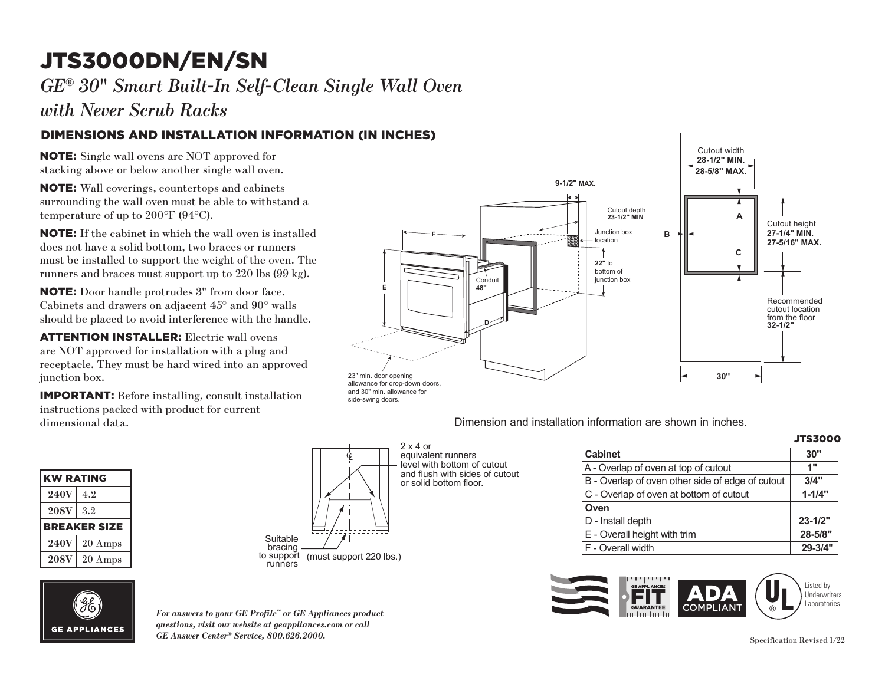# JTS3000DN/EN/SN **F**

*GE® 30*" *Smart Built-In Self-Clean Single Wall Oven*

*with Never Scrub Racks* 

## DIMENSIONS AND INSTALLATION INFORMATION (IN INCHES)

NOTE: Single wall ovens are NOT approved for stacking above or below another single wall oven.

NOTE: Wall coverings, countertops and cabinets surrounding the wall oven must be able to withstand a temperature of up to 200°F (94°C).

NOTE: If the cabinet in which the wall oven is installed does not have a solid bottom, two braces or runners must be installed to support the weight of the oven. The runners and braces must support up to 220 lbs (99 kg).

**NOTE:** Door handle protrudes 3" from door face. Cabinets and drawers on adjacent  $45^{\circ}$  and  $90^{\circ}$  walls should be placed to avoid interference with the handle.

ATTENTION INSTALLER: Electric wall ovens are NOT approved for installation with a plug and receptacle. They must be hard wired into an approved junction box.  $\overline{a}$ 

**IMPORTANT:** Before installing, consult installation  $\frac{1}{2}$  instructions packed with product for current dimensional data.

| <b>KW RATING</b>    |                     |
|---------------------|---------------------|
| <b>240V</b>         | 4.2                 |
| <b>208V</b>         | 3.2                 |
| <b>BREAKER SIZE</b> |                     |
| <b>240V</b>         | $\frac{1}{20}$ Amps |
| <b>208V</b>         | 20 Amps             |





side-swing doors.

equivalent runners equivalent runners<br>level with bottom of cutout and flush with sides of cutout or solid bottom floor. 2 x 4 or

| <b>IATION (IN INCHES)</b><br>9-1/2" MAX.                                                                                                        | Cutout width<br>28-1/2" MIN.<br>28-5/8" MAX. |                                                                 |
|-------------------------------------------------------------------------------------------------------------------------------------------------|----------------------------------------------|-----------------------------------------------------------------|
| Cutout depth<br>23-1/2" MIN<br>$\rm d$<br>Junction box<br>$B -$<br>location<br>ιe<br>22" to<br>bottom of<br>junction box<br>Conduit<br>E<br>48" | Α<br>C                                       | Cutout height<br>27-1/4" MIN.<br>27-5/16" MAX.                  |
| 23" min. door opening<br>allowance for drop-down doors,                                                                                         | 30"                                          | Recommended<br>cutout location<br>from the floor<br>$32 - 1/2"$ |

Dimension and installation information are shown in inches. e interiore

| ٠                                                | <b>JTS3000</b> |
|--------------------------------------------------|----------------|
| <b>Cabinet</b>                                   | 30"            |
| A - Overlap of oven at top of cutout             | 1"             |
| B - Overlap of oven other side of edge of cutout | 3/4"           |
| C - Overlap of oven at bottom of cutout          | $1 - 1/4"$     |
| Oven                                             |                |
| D - Install depth                                | $23 - 1/2"$    |
| E - Overall height with trim                     | 28-5/8"        |
| F - Overall width                                | 29-3/4"        |



*For answers to your GE Profile™ or GE Appliances product questions, visit our website at geappliances.com or call GE Answer Center® Service, 800.626.2000.*

F - Overall width **29-3/4"**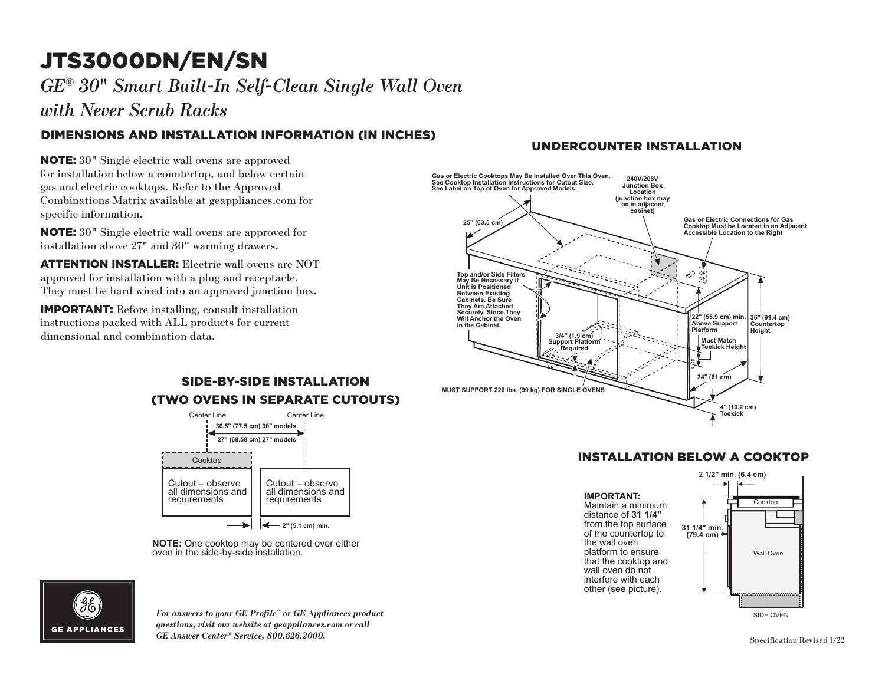# JTS3000DN/EN/SN

*GE® 30*" *Smart Built-In Self-Clean Single Wall Oven*

*with Never Scrub Racks* 

## DIMENSIONS AND INSTALLATION INFORMATION (IN INCHES)

**NOTE:**  $30"$  Single electric wall ovens are approved for installation below a countertop, and below certain gas and electric cooktops. Refer to the Approved Combinations Matrix available at geappliances.com for **25" (63.5 cm)** specific information.

NOTE: 30" Single electric wall ovens are approved for installation above  $27"$  and  $30"$  warming drawers.

**ATTENTION INSTALLER:** Electric wall ovens are NOT approved for installation with a plug and receptacle. **They must be hard wired into an approved junction box.** 

**IMPORTANT:** Before installing, consult installation instructions packed with ALL products for current dimensional and combination data.

### UNDERCOUNTER INSTALLATION



## INSTALLATION BELOW A COOKTOP **IMPORTANT:**



SIDE OVEN

### (TWO OVENS IN SEPARATE CUTOUTS) SIDE-BY-SIDE INSTALLATION



**NOTE:** One cooktop may be centered over either oven in the side-by-side installation.



*For answers to your GE Profile™ or GE Appliances product questions, visit our website at geappliances.com or call GE Answer Center® Service, 800.626.2000.* Specification Revised 1/22 **NOTE:** ONE comment over each installation of  $\alpha$  installation. The side-by-side-by-side-by-side-by-side-by-side-by-side-by-side-by-side-by-side-by-side-by-side-by-side-by-side-by-side-by-side-by-side-by-side-by-side-by-s

Cooktop

 $\equiv$   $\equiv$ 

SIDE OVEN